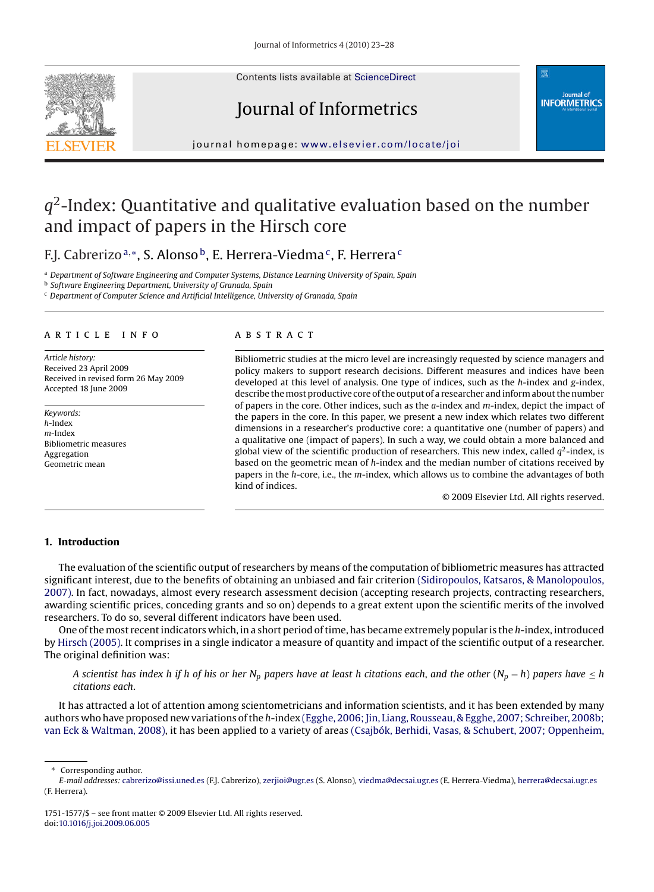Contents lists available at [ScienceDirect](http://www.sciencedirect.com/science/journal/17511577)



# Journal of Informetrics



journal homepage: [www.elsevier.com/locate/joi](http://www.elsevier.com/locate/joi)

## $q^2$ -Index: Quantitative and qualitative evaluation based on the number and impact of papers in the Hirsch core

F.J. Cabrerizo<sup>a,</sup>\*, S. Alonso<sup>b</sup>, E. Herrera-Viedma<sup>c</sup>, F. Herrera<sup>c</sup>

<sup>a</sup> *Department of Software Engineering and Computer Systems, Distance Learning University of Spain, Spain*

<sup>b</sup> *Software Engineering Department, University of Granada, Spain*

<sup>c</sup> *Department of Computer Science and Artificial Intelligence, University of Granada, Spain*

#### article info

*Article history:* Received 23 April 2009 Received in revised form 26 May 2009 Accepted 18 June 2009

*Keywords: h*-Index *m*-Index Bibliometric measures Aggregation Geometric mean

#### ABSTRACT

Bibliometric studies at the micro level are increasingly requested by science managers and policy makers to support research decisions. Different measures and indices have been developed at this level of analysis. One type of indices, such as the *h*-index and *g*-index, describe themost productive core of the output of a researcher and inform about the number of papers in the core. Other indices, such as the *a*-index and *m*-index, depict the impact of the papers in the core. In this paper, we present a new index which relates two different dimensions in a researcher's productive core: a quantitative one (number of papers) and a qualitative one (impact of papers). In such a way, we could obtain a more balanced and global view of the scientific production of researchers. This new index, called  $q^2$ -index, is based on the geometric mean of *h*-index and the median number of citations received by papers in the *h*-core, i.e., the *m*-index, which allows us to combine the advantages of both kind of indices.

© 2009 Elsevier Ltd. All rights reserved.

#### **1. Introduction**

The evaluation of the scientific output of researchers by means of the computation of bibliometric measures has attracted significant interest, due to the benefits of obtaining an unbiased and fair criterion [\(Sidiropoulos, Katsaros, & Manolopoulos,](#page-4-0) [2007\). I](#page-4-0)n fact, nowadays, almost every research assessment decision (accepting research projects, contracting researchers, awarding scientific prices, conceding grants and so on) depends to a great extent upon the scientific merits of the involved researchers. To do so, several different indicators have been used.

One of the most recent indicators which, in a short period of time, has became extremely popular is the *h*-index, introduced by [Hirsch \(2005\). I](#page-4-0)t comprises in a single indicator a measure of quantity and impact of the scientific output of a researcher. The original definition was:

*A* scientist has index h if h of his or her N<sub>p</sub> papers have at least h citations each, and the other (N<sub>p</sub> − h) papers have ≤ h *citations each*.

It has attracted a lot of attention among scientometricians and information scientists, and it has been extended by many authors who have proposed new variations of the *h*-index [\(Egghe, 2006; Jin, Liang, Rousseau, & Egghe, 2007; Schreiber, 2008b;](#page-5-0) [van Eck & Waltman, 2008\), i](#page-5-0)t has been applied to a variety of areas [\(Csajbók, Berhidi, Vasas, & Schubert, 2007; Oppenheim,](#page-4-0)

<sup>∗</sup> Corresponding author.

*E-mail addresses:* [cabrerizo@issi.uned.es](mailto:cabrerizo@issi.uned.es) (F.J. Cabrerizo), [zerjioi@ugr.es](mailto:zerjioi@ugr.es) (S. Alonso), [viedma@decsai.ugr.es](mailto:viedma@decsai.ugr.es) (E. Herrera-Viedma), [herrera@decsai.ugr.es](mailto:herrera@decsai.ugr.es) (F. Herrera).

<sup>1751-1577/\$ –</sup> see front matter © 2009 Elsevier Ltd. All rights reserved. doi:[10.1016/j.joi.2009.06.005](dx.doi.org/10.1016/j.joi.2009.06.005)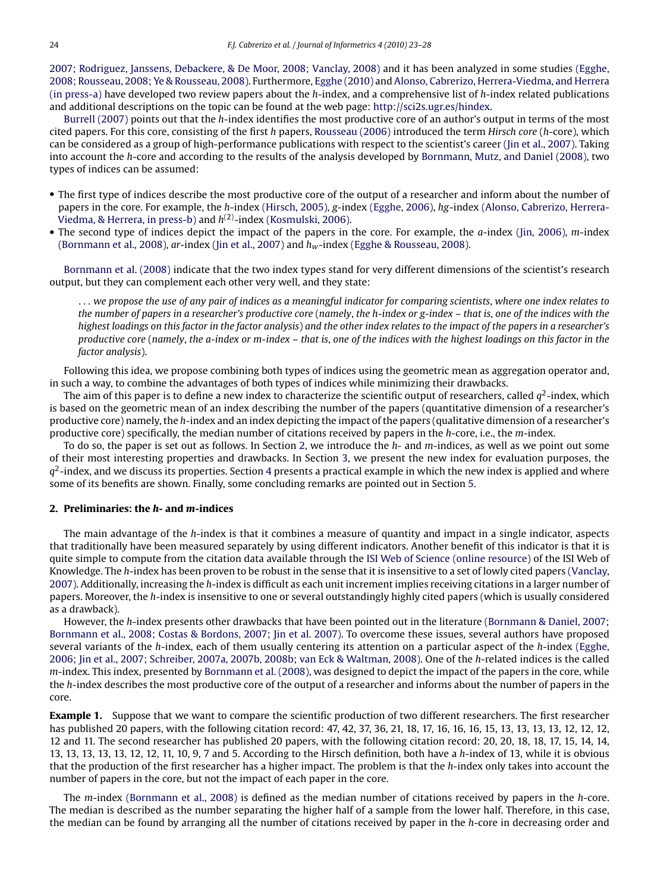[2007; Rodriguez, Janssens, Debackere, & De Moor, 2008; Vanclay, 2008\)](#page-4-0) and it has been analyzed in some studies [\(Egghe,](#page-4-0) [2008; Rousseau, 2008; Ye & Rousseau, 2008\). F](#page-4-0)urthermore, [Egghe \(2010\)](#page-4-0) and [Alonso, Cabrerizo, Herrera-Viedma, and Herrera](#page-4-0) [\(in press-a\)](#page-4-0) have developed two review papers about the *h*-index, and a comprehensive list of *h*-index related publications and additional descriptions on the topic can be found at the web page: <http://sci2s.ugr.es/hindex>.

[Burrell \(2007\)](#page-4-0) points out that the *h*-index identifies the most productive core of an author's output in terms of the most cited papers. For this core, consisting of the first *h* papers, [Rousseau \(2006\)](#page-4-0) introduced the term *Hirsch core* (*h*-core), which can be considered as a group of high-performance publications with respect to the scientist's career [\(Jin et al., 2007\). T](#page-4-0)aking into account the *h*-core and according to the results of the analysis developed by [Bornmann, Mutz, and Daniel \(2008\), t](#page-4-0)wo types of indices can be assumed:

- The first type of indices describe the most productive core of the output of a researcher and inform about the number of papers in the core. For example, the *<sup>h</sup>*-index [\(Hirsch, 2005\),](#page-4-0) *<sup>g</sup>*-index [\(Egghe, 2006\),](#page-4-0) hg-index [\(Alonso, Cabrerizo, Herrera-](#page-4-0)Viedma, [& Herrera, in press-b\)](#page-4-0) and  $h^{(2)}$ -index [\(Kosmulski, 2006\).](#page-4-0)
- The second type of indices depict the impact of the papers in the core. For example, the *a*-index [\(Jin, 2006\),](#page-4-0) *m*-index [\(Bornmann et al., 2008\),](#page-4-0) *ar*-index [\(Jin et al., 2007\)](#page-4-0) and  $h_w$ -index [\(Egghe & Rousseau, 2008\).](#page-4-0)

[Bornmann et al. \(2008\)](#page-4-0) indicate that the two index types stand for very different dimensions of the scientist's research output, but they can complement each other very well, and they state:

... *we propose the use of any pair of indices as a meaningful indicator for comparing scientists*, *where one index relates to the number of papers in a researcher's productive core* (*namely*, *the h-index or g-index – that is*, *one of the indices with the highest loadings on this factor in the factor analysis*) *and the other index relates to the impact of the papers in a researcher's productive core* (*namely*, *the a-index or m-index – that is*, *one of the indices with the highest loadings on this factor in the factor analysis*).

Following this idea, we propose combining both types of indices using the geometric mean as aggregation operator and, in such a way, to combine the advantages of both types of indices while minimizing their drawbacks.

The aim of this paper is to define a new index to characterize the scientific output of researchers, called  $q^2$ -index, which is based on the geometric mean of an index describing the number of the papers (quantitative dimension of a researcher's productive core) namely, the *h*-index and an index depicting the impact of the papers (qualitative dimension of a researcher's productive core) specifically, the median number of citations received by papers in the *h*-core, i.e., the *m*-index.

To do so, the paper is set out as follows. In Section 2, we introduce the *h*- and *m*-indices, as well as we point out some of their most interesting properties and drawbacks. In Section [3, w](#page-2-0)e present the new index for evaluation purposes, the  $q^2$ -index, and we discuss its properties. Section [4](#page-2-0) presents a practical example in which the new index is applied and where some of its benefits are shown. Finally, some concluding remarks are pointed out in Section [5.](#page-4-0)

### **2. Preliminaries: the** *h***- and** *m***-indices**

The main advantage of the *h*-index is that it combines a measure of quantity and impact in a single indicator, aspects that traditionally have been measured separately by using different indicators. Another benefit of this indicator is that it is quite simple to compute from the citation data available through the [ISI Web of Science \(online resource\)](#page-4-0) of the ISI Web of Knowledge. The *h*-index has been proven to be robust in the sense that it is insensitive to a set of lowly cited papers [\(Vanclay,](#page-5-0) [2007\). A](#page-5-0)dditionally, increasing the *h*-index is difficult as each unit increment implies receiving citations in a larger number of papers. Moreover, the *h*-index is insensitive to one or several outstandingly highly cited papers (which is usually considered as a drawback).

However, the *h*-index presents other drawbacks that have been pointed out in the literature [\(Bornmann & Daniel, 2007;](#page-4-0) [Bornmann et al., 2008; Costas & Bordons, 2007; Jin et al. 2007\). T](#page-4-0)o overcome these issues, several authors have proposed several variants of the *h*-index, each of them usually centering its attention on a particular aspect of the *h*-index [\(Egghe,](#page-5-0) [2006; Jin et al., 2007; Schreiber, 2007a, 2007b, 2008b; van Eck & Waltman, 2008\). O](#page-5-0)ne of the *h*-related indices is the called *m*-index. This index, presented by [Bornmann et al. \(2008\), w](#page-4-0)as designed to depict the impact of the papers in the core, while the *h*-index describes the most productive core of the output of a researcher and informs about the number of papers in the core.

**Example 1.** Suppose that we want to compare the scientific production of two different researchers. The first researcher has published 20 papers, with the following citation record: 47, 42, 37, 36, 21, 18, 17, 16, 16, 16, 15, 13, 13, 13, 13, 12, 12, 12, 12 and 11. The second researcher has published 20 papers, with the following citation record: 20, 20, 18, 18, 17, 15, 14, 14, 13, 13, 13, 13, 13, 12, 12, 11, 10, 9, 7 and 5. According to the Hirsch definition, both have a *h*-index of 13, while it is obvious that the production of the first researcher has a higher impact. The problem is that the *h*-index only takes into account the number of papers in the core, but not the impact of each paper in the core.

The *m*-index [\(Bornmann et al., 2008\)](#page-4-0) is defined as the median number of citations received by papers in the *h*-core. The median is described as the number separating the higher half of a sample from the lower half. Therefore, in this case, the median can be found by arranging all the number of citations received by paper in the *h*-core in decreasing order and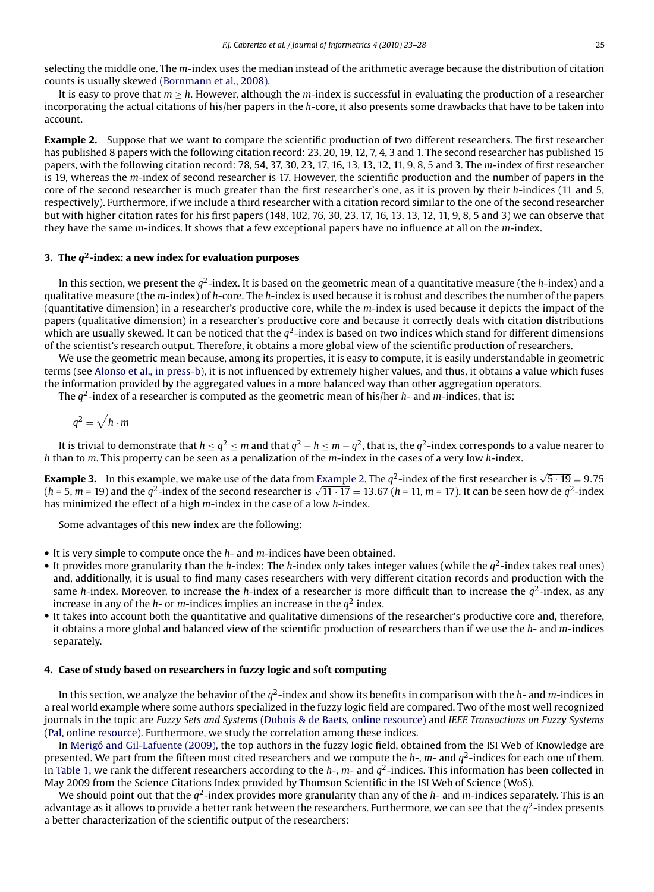<span id="page-2-0"></span>selecting the middle one. The *m*-index uses the median instead of the arithmetic average because the distribution of citation counts is usually skewed [\(Bornmann et al., 2008\).](#page-4-0)

It is easy to prove that m <sup>≥</sup> h. However, although the *<sup>m</sup>*-index is successful in evaluating the production of a researcher incorporating the actual citations of his/her papers in the *h*-core, it also presents some drawbacks that have to be taken into account.

**Example 2.** Suppose that we want to compare the scientific production of two different researchers. The first researcher has published 8 papers with the following citation record: 23, 20, 19, 12, 7, 4, 3 and 1. The second researcher has published 15 papers, with the following citation record: 78, 54, 37, 30, 23, 17, 16, 13, 13, 12, 11, 9, 8, 5 and 3. The *m*-index of first researcher is 19, whereas the *m*-index of second researcher is 17. However, the scientific production and the number of papers in the core of the second researcher is much greater than the first researcher's one, as it is proven by their *h*-indices (11 and 5, respectively). Furthermore, if we include a third researcher with a citation record similar to the one of the second researcher but with higher citation rates for his first papers (148, 102, 76, 30, 23, 17, 16, 13, 13, 12, 11, 9, 8, 5 and 3) we can observe that they have the same *m*-indices. It shows that a few exceptional papers have no influence at all on the *m*-index.

#### **3. The q2-index: a new index for evaluation purposes**

In this section, we present the  $q^2$ -index. It is based on the geometric mean of a quantitative measure (the *h*-index) and a qualitative measure (the *m*-index) of *h*-core. The *h*-index is used because it is robust and describes the number of the papers (quantitative dimension) in a researcher's productive core, while the *m*-index is used because it depicts the impact of the papers (qualitative dimension) in a researcher's productive core and because it correctly deals with citation distributions which are usually skewed. It can be noticed that the  $q^2$ -index is based on two indices which stand for different dimensions of the scientist's research output. Therefore, it obtains a more global view of the scientific production of researchers.

We use the geometric mean because, among its properties, it is easy to compute, it is easily understandable in geometric terms (see [Alonso et al., in press-b\),](#page-4-0) it is not influenced by extremely higher values, and thus, it obtains a value which fuses the information provided by the aggregated values in a more balanced way than other aggregation operators.

The <sup>q</sup>2-index of a researcher is computed as the geometric mean of his/her *<sup>h</sup>*- and *<sup>m</sup>*-indices, that is:

$$
q^2 = \sqrt{h \cdot m}
$$

It is trivial to demonstrate that  $h \le q^2 \le m$  and that  $q^2 - h \le m - q^2$ , that is, the  $q^2$ -index corresponds to a value nearer to *h* than to *m*. This property can be seen as a penalization of the *m*-index in the cases of a very low *h*-index.

**Example 3.** In this example, we make use of the data from Example 2. The  $q^2$ -index of the first researcher is  $\sqrt{5 \cdot 19} = 9.75$ <br>(b = 5, m = 19) and the  $q^2$  index of the second researcher is  $\sqrt{11 \cdot 17} = 13.67$  (b =  $\frac{1}{(h+5, m-19)}$  and the  $q^2$ -index of the second researcher is  $\sqrt{11 \cdot 17} = 13.67$  (*h* = 11, *m* = 17). It can be seen how de  $q^2$ -index has minimized the effect of a binh *m*-index in the case of a low *h*-index has minimized the effect of a high *m*-index in the case of a low *h*-index.

Some advantages of this new index are the following:

- It is very simple to compute once the *h* and *m*-indices have been obtained.
- It provides more granularity than the *h*-index: The *h*-index only takes integer values (while the  $q^2$ -index takes real ones) and, additionally, it is usual to find many cases researchers with very different citation records and production with the same *h*-index. Moreover, to increase the *h*-index of a researcher is more difficult than to increase the  $q^2$ -index, as any increase in any of the *h*- or *m*-indices implies an increase in the  $q^2$  index.
- It takes into account both the quantitative and qualitative dimensions of the researcher's productive core and, therefore, it obtains a more global and balanced view of the scientific production of researchers than if we use the *h*- and *m*-indices separately.

#### **4. Case of study based on researchers in fuzzy logic and soft computing**

In this section, we analyze the behavior of the  $q^2$ -index and show its benefits in comparison with the  $h$ - and  $m$ -indices in a real world example where some authors specialized in the fuzzy logic field are compared. Two of the most well recognized journals in the topic are *Fuzzy Sets and Systems* [\(Dubois & de Baets, online resource\)](#page-4-0) and *IEEE Transactions on Fuzzy Systems* [\(Pal, online resource\). F](#page-4-0)urthermore, we study the correlation among these indices.

In [Merigó and Gil-Lafuente \(2009\), t](#page-4-0)he top authors in the fuzzy logic field, obtained from the ISI Web of Knowledge are presented. We part from the fifteen most cited researchers and we compute the *<sup>h</sup>*-, *<sup>m</sup>*- and <sup>q</sup>2-indices for each one of them. In [Table 1, w](#page-3-0)e rank the different researchers according to the *h*-, *m*- and  $q^2$ -indices. This information has been collected in May 2009 from the Science Citations Index provided by Thomson Scientific in the ISI Web of Science (WoS).

We should point out that the  $q^2$ -index provides more granularity than any of the  $h$ - and  $m$ -indices separately. This is an advantage as it allows to provide a better rank between the researchers. Furthermore, we can see that the  $q^2$ -index presents a better characterization of the scientific output of the researchers: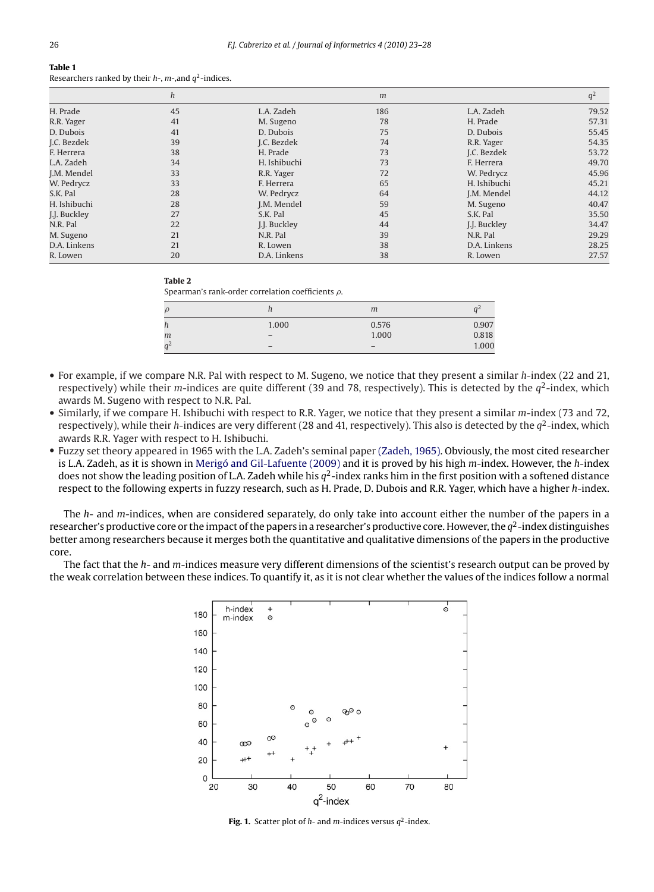<span id="page-3-0"></span>

|              | h  |              | m   |              | $q^2$ |
|--------------|----|--------------|-----|--------------|-------|
| H. Prade     | 45 | L.A. Zadeh   | 186 | L.A. Zadeh   | 79.52 |
| R.R. Yager   | 41 | M. Sugeno    | 78  | H. Prade     | 57.31 |
| D. Dubois    | 41 | D. Dubois    | 75  | D. Dubois    | 55.45 |
| J.C. Bezdek  | 39 | J.C. Bezdek  | 74  | R.R. Yager   | 54.35 |
| F. Herrera   | 38 | H. Prade     | 73  | J.C. Bezdek  | 53.72 |
| L.A. Zadeh   | 34 | H. Ishibuchi | 73  | F. Herrera   | 49.70 |
| J.M. Mendel  | 33 | R.R. Yager   | 72  | W. Pedrycz   | 45.96 |
| W. Pedrycz   | 33 | F. Herrera   | 65  | H. Ishibuchi | 45.21 |
| S.K. Pal     | 28 | W. Pedrycz   | 64  | J.M. Mendel  | 44.12 |
| H. Ishibuchi | 28 | J.M. Mendel  | 59  | M. Sugeno    | 40.47 |
| J.J. Buckley | 27 | S.K. Pal     | 45  | S.K. Pal     | 35.50 |
| N.R. Pal     | 22 | J.J. Buckley | 44  | I.I. Buckley | 34.47 |
| M. Sugeno    | 21 | N.R. Pal     | 39  | N.R. Pal     | 29.29 |
| D.A. Linkens | 21 | R. Lowen     | 38  | D.A. Linkens | 28.25 |
| R. Lowen     | 20 | D.A. Linkens | 38  | R. Lowen     | 27.57 |

#### **Table 2**

Spearman's rank-order correlation coefficients  $\rho$ .

|                      | ,,              | m                        |       |
|----------------------|-----------------|--------------------------|-------|
|                      | 1.000           | 0.576                    | 0.907 |
| m                    | $\qquad \qquad$ | 1.000                    | 0.818 |
| $\sqrt{2}$<br>$\sim$ | $\qquad \qquad$ | $\overline{\phantom{m}}$ | 1.000 |

- For example, if we compare N.R. Pal with respect to M. Sugeno, we notice that they present a similar *h*-index (22 and 21, respectively) while their *m*-indices are quite different (39 and 78, respectively). This is detected by the  $q^2$ -index, which awards M. Sugeno with respect to N.R. Pal.
- Similarly, if we compare H. Ishibuchi with respect to R.R. Yager, we notice that they present a similar *m*-index (73 and 72, respectively), while their *h*-indices are very different (28 and 41, respectively). This also is detected by the  $q^2$ -index, which awards R.R. Yager with respect to H. Ishibuchi.
- Fuzzy set theory appeared in 1965 with the L.A. Zadeh's seminal paper [\(Zadeh, 1965\). O](#page-5-0)bviously, the most cited researcher is L.A. Zadeh, as it is shown in [Merigó and Gil-Lafuente \(2009\)](#page-4-0) and it is proved by his high *m*-index. However, the *h*-index does not show the leading position of L.A. Zadeh while his  $q^2$ -index ranks him in the first position with a softened distance respect to the following experts in fuzzy research, such as H. Prade, D. Dubois and R.R. Yager, which have a higher *h*-index.

The *h*- and *m*-indices, when are considered separately, do only take into account either the number of the papers in a researcher's productive core or the impact of the papers in a researcher's productive core. However, the  $q^2$ -index distinguishes better among researchers because it merges both the quantitative and qualitative dimensions of the papers in the productive core.

The fact that the *h*- and *m*-indices measure very different dimensions of the scientist's research output can be proved by the weak correlation between these indices. To quantify it, as it is not clear whether the values of the indices follow a normal



**Fig. 1.** Scatter plot of  $h$ - and  $m$ -indices versus  $q^2$ -index.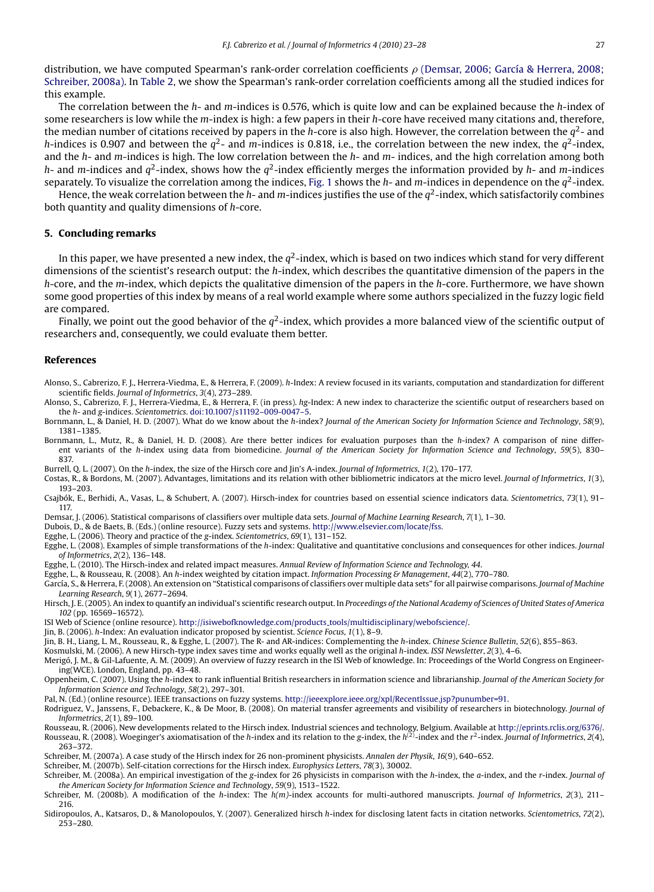<span id="page-4-0"></span>distribution, we have computed Spearman's rank-order correlation coefficients ρ (Demsar, 2006; García & Herrera, 2008;<br>Schreiber 2008a), In Table 2, we show the Spearman's rank-order correlation coefficients among all the Schreiber, 2008a). In [Table 2, w](#page-3-0)e show the Spearman's rank-order correlation coefficients among all the studied indices for this example.

The correlation between the *h*- and *m*-indices is 0.576, which is quite low and can be explained because the *h*-index of some researchers is low while the *m*-index is high: a few papers in their *h*-core have received many citations and, therefore, the median number of citations received by papers in the *<sup>h</sup>*-core is also high. However, the correlation between the <sup>q</sup>2- and *h*-indices is 0.907 and between the  $q^2$ - and *m*-indices is 0.818, i.e., the correlation between the new index, the  $q^2$ -index, and the *h*- and *m*-indices is high. The low correlation between the *h*- and *m*- indices, and the high correlation among both *<sup>h</sup>*- and *<sup>m</sup>*-indices and q2-index, shows how the q2-index efficiently merges the information provided by *<sup>h</sup>*- and *<sup>m</sup>*-indices separately. To visualize the correlation among the indices, [Fig. 1](#page-3-0) shows the  $h$ - and  $m$ -indices in dependence on the  $q^2$ -index.

Hence, the weak correlation between the *h*- and *m*-indices justifies the use of the  $q^2$ -index, which satisfactorily combines both quantity and quality dimensions of *h*-core.

#### **5. Concluding remarks**

In this paper, we have presented a new index, the  $q^2$ -index, which is based on two indices which stand for very different dimensions of the scientist's research output: the *h*-index, which describes the quantitative dimension of the papers in the *h*-core, and the *m*-index, which depicts the qualitative dimension of the papers in the *h*-core. Furthermore, we have shown some good properties of this index by means of a real world example where some authors specialized in the fuzzy logic field are compared.

Finally, we point out the good behavior of the  $q^2$ -index, which provides a more balanced view of the scientific output of researchers and, consequently, we could evaluate them better.

#### **References**

- Alonso, S., Cabrerizo, F. J., Herrera-Viedma, E., & Herrera, F. (2009). *h*-Index: A review focused in its variants, computation and standardization for different scientific fields. *Journal of Informetrics*, *3*(4), 273–289.
- Alonso, S., Cabrerizo, F. J., Herrera-Viedma, E., & Herrera, F. (in press). *hg*-Index: A new index to characterize the scientific output of researchers based on the *h*- and *g*-indices. *Scientometrics*. [doi:10.1007/s11192–009-0047–5.](http://dx.doi.org/10.1007/s11192--009-0047--5)
- Bornmann, L., & Daniel, H. D. (2007). What do we know about the *h*-index? *Journal of the American Society for Information Science and Technology*, *58*(9), 1381–1385.
- Bornmann, L., Mutz, R., & Daniel, H. D. (2008). Are there better indices for evaluation purposes than the *h*-index? A comparison of nine different variants of the *h*-index using data from biomedicine. *Journal of the American Society for Information Science and Technology*, *59*(5), 830– 837.
- Burrell, Q. L. (2007). On the *h*-index, the size of the Hirsch core and Jin's A-index. *Journal of Informetrics*, *1*(2), 170–177.
- Costas, R., & Bordons, M. (2007). Advantages, limitations and its relation with other bibliometric indicators at the micro level. *Journal of Informetrics*, *1*(3), 193–203.
- Csajbók, E., Berhidi, A., Vasas, L., & Schubert, A. (2007). Hirsch-index for countries based on essential science indicators data. *Scientometrics*, *73*(1), 91– 117.
- Demsar, J. (2006). Statistical comparisons of classifiers over multiple data sets. *Journal of Machine Learning Research*, *7*(1), 1–30.
- Dubois, D., & de Baets, B. (Eds.) (online resource). Fuzzy sets and systems. <http://www.elsevier.com/locate/fss>.
- Egghe, L. (2006). Theory and practice of the *g*-index. *Scientometrics*, *69*(1), 131–152.
- Egghe, L. (2008). Examples of simple transformations of the *h*-index: Qualitative and quantitative conclusions and consequences for other indices. *Journal of Informetrics*, *2*(2), 136–148.
- Egghe, L. (2010). The Hirsch-index and related impact measures. *Annual Review of Information Science and Technology, 44*.
- Egghe, L., & Rousseau, R. (2008). An *h*-index weighted by citation impact. *Information Processing & Management*, *44*(2), 770–780.
- García, S., & Herrera, F. (2008). An extension on "Statistical comparisons of classifiers over multiple data sets" for all pairwise comparisons. *Journal of Machine Learning Research*, *9*(1), 2677–2694.
- Hirsch, J. E. (2005). An index to quantify an individual's scientific research output. In *Proceedings of the National Academy of Sciences of United States of America 102* (pp. 16569–16572).
- ISI Web of Science (online resource). [http://isiwebofknowledge.com/products](http://isiwebofknowledge.com/products_tools/multidisciplinary/webofscience/) tools/multidisciplinary/webofscience/.
- Jin, B. (2006). *h*-Index: An evaluation indicator proposed by scientist. *Science Focus*, *1*(1), 8–9.
- Jin, B. H., Liang, L. M., Rousseau, R., & Egghe, L. (2007). The R- and AR-indices: Complementing the *h*-index. *Chinese Science Bulletin*, *52*(6), 855–863.
- Kosmulski, M. (2006). A new Hirsch-type index saves time and works equally well as the original *h*-index. *ISSI Newsletter*, *2*(3), 4–6.
- Merigó, J. M., & Gil-Lafuente, A. M. (2009). An overview of fuzzy research in the ISI Web of knowledge. In: Proceedings of the World Congress on Engineering(WCE). London, England, pp. 43–48.
- Oppenheim, C. (2007). Using the *h*-index to rank influential British researchers in information science and librarianship. *Journal of the American Society for Information Science and Technology*, *58*(2), 297–301.
- Pal, N. (Ed.) (online resource). IEEE transactions on fuzzy systems. <http://ieeexplore.ieee.org/xpl/RecentIssue.jsp?punumber=91>.
- Rodriguez, V., Janssens, F., Debackere, K., & De Moor, B. (2008). On material transfer agreements and visibility of researchers in biotechnology. *Journal of Informetrics*, *2*(1), 89–100.
- Rousseau, R. (2006). New developments related to the Hirsch index. Industrial sciences and technology, Belgium. Available at [http://eprints.rclis.org/6376/.](http://eprints.rclis.org/6376/)<br>Rousseau, R. (2008). Woeginger's axiomatisation of the *h-*index 263–372.
- Schreiber, M. (2007a). A case study of the Hirsch index for 26 non-prominent physicists. *Annalen der Physik*, *16*(9), 640–652.
- Schreiber, M. (2007b). Self-citation corrections for the Hirsch index. *Europhysics Letters*, *78*(3), 30002.
- Schreiber, M. (2008a). An empirical investigation of the *g*-index for 26 physicists in comparison with the *h*-index, the *a*-index, and the *r*-index. *Journal of the American Society for Information Science and Technology*, *59*(9), 1513–1522.
- Schreiber, M. (2008b). A modification of the *h*-index: The *h(m)*-index accounts for multi-authored manuscripts. *Journal of Informetrics*, *2*(3), 211– 216.
- Sidiropoulos, A., Katsaros, D., & Manolopoulos, Y. (2007). Generalized hirsch *h*-index for disclosing latent facts in citation networks. *Scientometrics*, *72*(2), 253–280.